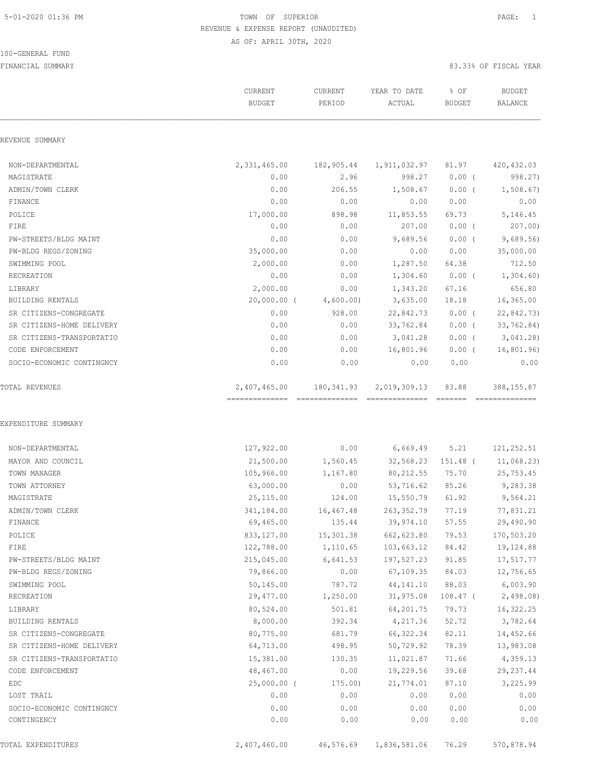100-GENERAL FUND

|                           | CURRENT<br><b>BUDGET</b> | CURRENT<br>PERIOD     | YEAR TO DATE<br>ACTUAL               | % OF<br><b>BUDGET</b> | <b>BUDGET</b><br><b>BALANCE</b> |
|---------------------------|--------------------------|-----------------------|--------------------------------------|-----------------------|---------------------------------|
| REVENUE SUMMARY           |                          |                       |                                      |                       |                                 |
| NON-DEPARTMENTAL          |                          |                       | 2,331,465.00 182,905.44 1,911,032.97 | 81.97                 | 420,432.03                      |
| MAGISTRATE                | 0.00                     | 2.96                  | 998.27                               | $0.00$ (              | 998.27)                         |
| ADMIN/TOWN CLERK          | 0.00                     | 206.55                | 1,508.67                             | $0.00$ (              | 1,508.67                        |
| FINANCE                   | 0.00                     | 0.00                  | 0.00                                 | 0.00                  | 0.00                            |
| POLICE                    | 17,000.00                | 898.98                | 11,853.55                            | 69.73                 | 5,146.45                        |
| FIRE                      | 0.00                     | 0.00                  | 207.00                               | $0.00$ (              | 207.00)                         |
| PW-STREETS/BLDG MAINT     | 0.00                     | 0.00                  | 9,689.56                             | $0.00$ (              | 9,689.56                        |
| PW-BLDG REGS/ZONING       | 35,000.00                | 0.00                  | 0.00                                 | 0.00                  | 35,000.00                       |
| SWIMMING POOL             | 2,000.00                 | 0.00                  | 1,287.50                             | 64.38                 | 712.50                          |
| RECREATION                | 0.00                     | 0.00                  | 1,304.60                             | 0.00(                 | 1,304.60                        |
| LIBRARY                   | 2,000.00                 | 0.00                  | 1,343.20                             | 67.16                 | 656.80                          |
| BUILDING RENTALS          |                          | 20,000.00 (4,600.00)  | 3,635.00                             | 18.18                 | 16, 365.00                      |
| SR CITIZENS-CONGREGATE    | 0.00                     | 928.00                | 22,842.73                            | $0.00$ (              | 22,842.73)                      |
| SR CITIZENS-HOME DELIVERY | 0.00                     | 0.00                  | 33,762.84                            |                       | $0.00$ ( $33,762.84$ )          |
| SR CITIZENS-TRANSPORTATIO | 0.00                     | 0.00                  | 3,041.28                             | $0.00$ (              | 3,041.28)                       |
| CODE ENFORCEMENT          | 0.00                     | 0.00                  | 16,801.96                            |                       | $0.00$ ( 16,801.96)             |
| SOCIO-ECONOMIC CONTINGNCY | 0.00                     | 0.00                  | 0.00                                 | 0.00                  | 0.00                            |
| TOTAL REVENUES            |                          |                       | 2,407,465.00 180,341.93 2,019,309.13 | 83.88                 | 388,155.87                      |
| EXPENDITURE SUMMARY       |                          |                       |                                      |                       |                                 |
| NON-DEPARTMENTAL          | 127,922.00               | 0.00                  | 6,669.49                             | 5.21                  | 121,252.51                      |
| MAYOR AND COUNCIL         | 21,500.00                | 1,560.45              | 32,568.23                            | 151.48 (              | 11,068.23)                      |
| TOWN MANAGER              | 105,966.00               | 1,167.80              | 80, 212.55                           |                       | 75.70 25,753.45                 |
| TOWN ATTORNEY             | 63,000.00                | 0.00                  | 53,716.62                            | 85.26                 | 9,283.38                        |
| MAGISTRATE                | 25,115.00                | 124.00                | 15,550.79                            | 61.92                 | 9,564.21                        |
| ADMIN/TOWN CLERK          | 341,184.00               | 16,467.48             | 263, 352.79<br>39,974.10 57.55       | 77.19                 | 77,831.21<br>29,490.90          |
| FINANCE                   | 69,465.00                | 135.44                |                                      |                       | 170,503.20                      |
| POLICE<br>FIRE            | 833,127.00<br>122,788.00 | 15,301.38<br>1,110.65 | 662,623.80<br>103,663.12             | 79.53<br>84.42        | 19,124.88                       |
| PW-STREETS/BLDG MAINT     | 215,045.00               | 6,641.53              | 197,527.23                           | 91.85                 | 17,517.77                       |
| PW-BLDG REGS/ZONING       | 79,866.00                | 0.00                  | 67,109.35                            | 84.03                 | 12,756.65                       |
| SWIMMING POOL             | 50,145.00                | 787.72                | 44, 141. 10                          | 88.03                 | 6,003.90                        |
| RECREATION                | 29,477.00                | 1,250.00              | 31,975.08                            | $108.47$ (            | 2,498.08                        |
| LIBRARY                   | 80,524.00                | 501.81                | 64,201.75                            | 79.73                 | 16,322.25                       |
| BUILDING RENTALS          | 8,000.00                 | 392.34                | 4,217.36                             | 52.72                 | 3,782.64                        |
| SR CITIZENS-CONGREGATE    | 80,775.00                | 681.79                | 66, 322.34                           | 82.11                 | 14,452.66                       |
| SR CITIZENS-HOME DELIVERY | 64,713.00                | 498.95                | 50,729.92                            | 78.39                 | 13,983.08                       |
| SR CITIZENS-TRANSPORTATIO | 15,381.00                | 130.35                | 11,021.87                            | 71.66                 | 4,359.13                        |
| CODE ENFORCEMENT          | 48,467.00                | 0.00                  | 19,229.56                            | 39.68                 | 29, 237.44                      |
| EDC                       | $25,000.00$ (            | 175.00)               | 21,774.01                            | 87.10                 | 3,225.99                        |
| LOST TRAIL                | 0.00                     | 0.00                  | 0.00                                 | 0.00                  | 0.00                            |
| SOCIO-ECONOMIC CONTINGNCY | 0.00                     | 0.00                  | 0.00                                 | 0.00                  | 0.00                            |
| CONTINGENCY               | 0.00                     | 0.00                  | 0.00                                 | 0.00                  | 0.00                            |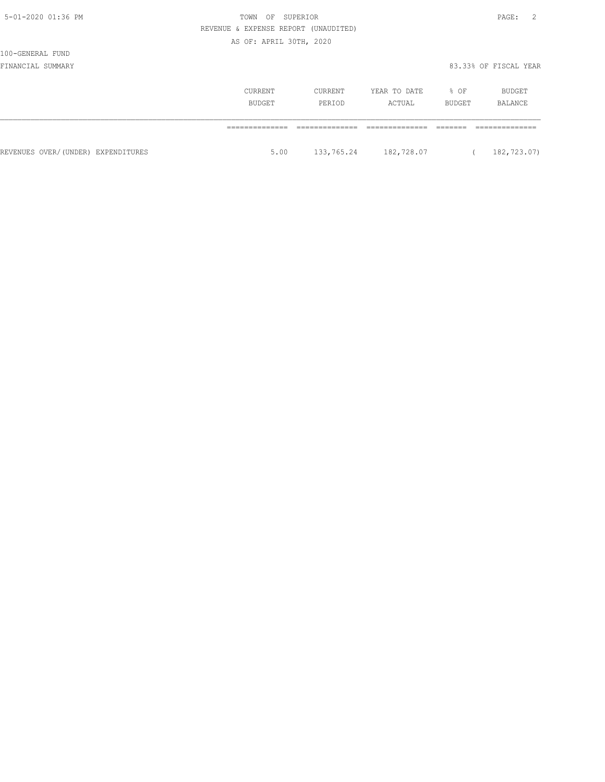| I<br>× |  |
|--------|--|
|--------|--|

100-GENERAL FUND

|                                    | CURRENT<br>BUDGET | CURRENT<br>PERIOD | YEAR TO DATE<br>ACTUAL | % OF<br><b>BUDGET</b> | BUDGET<br>BALANCE |
|------------------------------------|-------------------|-------------------|------------------------|-----------------------|-------------------|
|                                    |                   |                   |                        |                       |                   |
| REVENUES OVER/(UNDER) EXPENDITURES | 5.00              | 133,765.24        | 182,728.07             |                       | 182,723.07)       |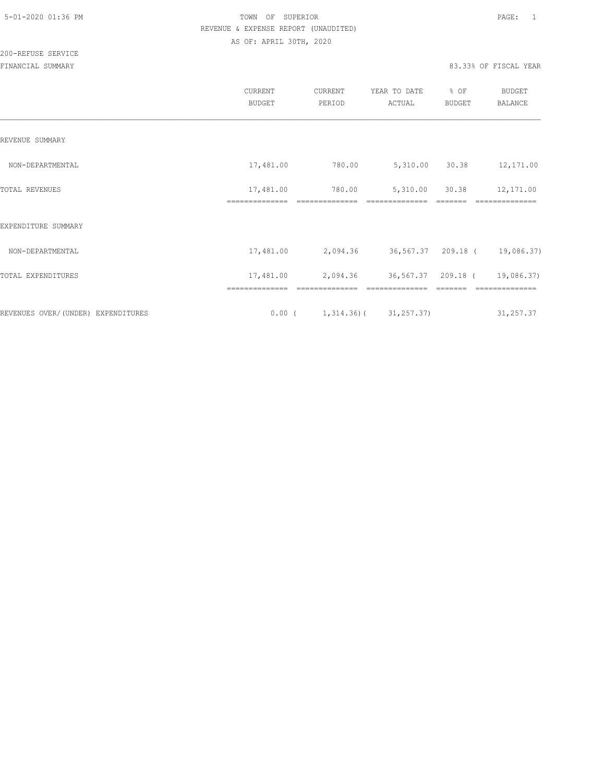|                                    | CURRENT<br><b>BUDGET</b> | CURRENT<br>PERIOD | YEAR TO DATE<br>ACTUAL                 | % OF<br><b>BUDGET</b> | <b>BUDGET</b><br><b>BALANCE</b> |
|------------------------------------|--------------------------|-------------------|----------------------------------------|-----------------------|---------------------------------|
| REVENUE SUMMARY                    |                          |                   |                                        |                       |                                 |
| NON-DEPARTMENTAL                   | 17,481.00                | 780.00            | 5,310.00 30.38                         |                       | 12,171.00                       |
| TOTAL REVENUES                     | 17,481.00                | 780.00            | 5,310.00<br>==============             | 30.38                 | 12,171.00                       |
| EXPENDITURE SUMMARY                |                          |                   |                                        |                       |                                 |
| NON-DEPARTMENTAL                   | 17,481.00                |                   | 2,094.36 36,567.37 209.18 ( 19,086.37) |                       |                                 |
| TOTAL EXPENDITURES                 | 17,481.00                | 2,094.36          | 36,567.37 209.18 (                     |                       | 19,086.37)                      |
| REVENUES OVER/(UNDER) EXPENDITURES |                          |                   | $0.00$ ( $1,314.36$ ) ( $31,257.37$ )  |                       | 31,257.37                       |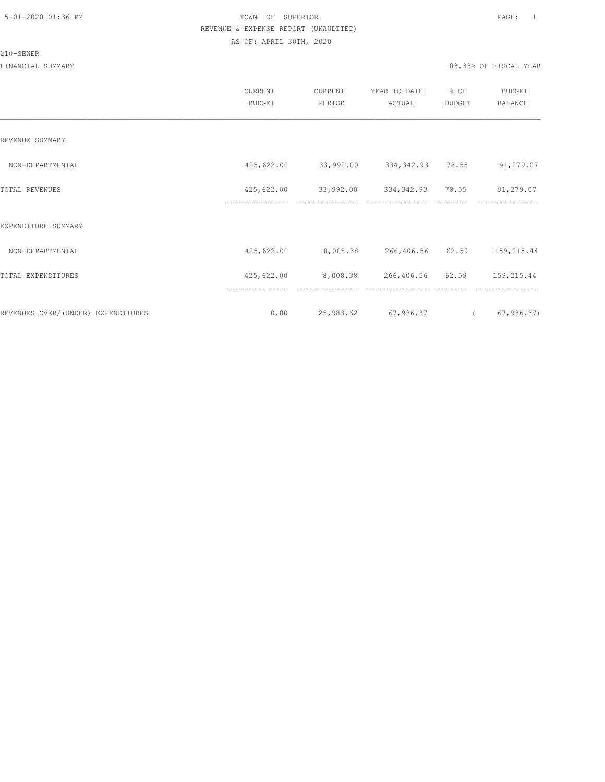#### 210-SEWER

|                                     | CURRENT<br><b>BUDGET</b> | CURRENT<br>PERIOD | YEAR TO DATE<br>ACTUAL | % OF<br>BUDGET | <b>BUDGET</b><br>BALANCE |
|-------------------------------------|--------------------------|-------------------|------------------------|----------------|--------------------------|
| REVENUE SUMMARY                     |                          |                   |                        |                |                          |
| NON-DEPARTMENTAL                    | 425,622.00               | 33,992.00         | 334, 342.93 78.55      |                | 91,279.07                |
| TOTAL REVENUES                      | 425,622.00               | 33,992.00         | 334,342.93             | 78.55          | 91,279.07                |
| EXPENDITURE SUMMARY                 |                          |                   |                        |                |                          |
| NON-DEPARTMENTAL                    | 425,622.00               | 8,008.38          | 266,406.56 62.59       |                | 159,215.44               |
| TOTAL EXPENDITURES                  | 425,622.00               | 8,008.38          | 266,406.56             | 62.59          | 159,215.44               |
|                                     |                          |                   |                        |                |                          |
| REVENUES OVER/ (UNDER) EXPENDITURES | 0.00                     | 25,983.62         | 67,936.37              | $\sqrt{2}$     | 67, 936.37               |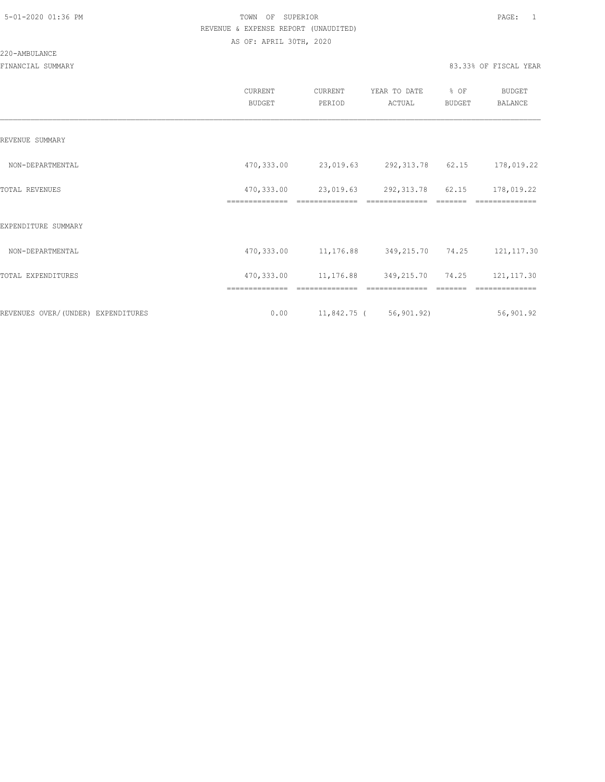#### 220-AMBULANCE

|                                    | CURRENT<br><b>BUDGET</b>     | CURRENT<br>PERIOD            | YEAR TO DATE<br>ACTUAL   | % OF<br><b>BUDGET</b> | <b>BUDGET</b><br>BALANCE |
|------------------------------------|------------------------------|------------------------------|--------------------------|-----------------------|--------------------------|
| REVENUE SUMMARY                    |                              |                              |                          |                       |                          |
| NON-DEPARTMENTAL                   | 470,333.00                   | 23,019.63                    | 292,313.78 62.15         |                       | 178,019.22               |
| TOTAL REVENUES                     | 470,333.00<br>============== | 23,019.63                    | 292,313.78 62.15         |                       | 178,019.22               |
| EXPENDITURE SUMMARY                |                              |                              |                          |                       |                          |
| NON-DEPARTMENTAL                   | 470,333.00                   | 11,176.88                    | 349,215.70 74.25         |                       | 121, 117.30              |
| TOTAL EXPENDITURES                 | 470,333.00                   | 11, 176.88 349, 215.70 74.25 |                          |                       | 121, 117.30              |
|                                    |                              |                              |                          |                       |                          |
| REVENUES OVER/(UNDER) EXPENDITURES | 0.00                         |                              | $11,842.75$ ( 56,901.92) |                       | 56,901.92                |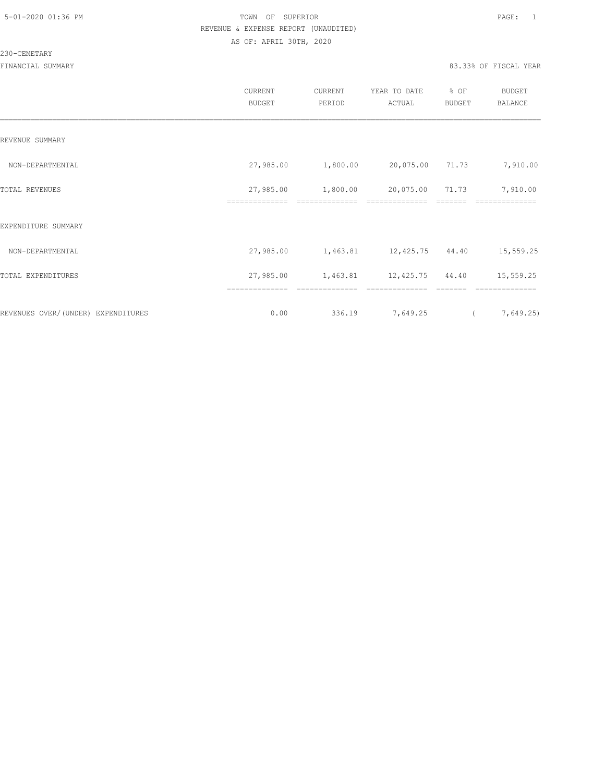#### 230-CEMETARY

|                                     | CURRENT<br><b>BUDGET</b> | CURRENT<br>PERIOD | YEAR TO DATE<br>ACTUAL | % OF<br>BUDGET | BUDGET<br>BALANCE |
|-------------------------------------|--------------------------|-------------------|------------------------|----------------|-------------------|
| REVENUE SUMMARY                     |                          |                   |                        |                |                   |
| NON-DEPARTMENTAL                    | 27,985.00                | 1,800.00          | 20,075.00 71.73        |                | 7,910.00          |
| TOTAL REVENUES                      | 27,985.00                | 1,800.00          | 20,075.00              | 71.73          | 7,910.00          |
| EXPENDITURE SUMMARY                 |                          |                   |                        |                |                   |
| NON-DEPARTMENTAL                    | 27,985.00                | 1,463.81          | 12,425.75 44.40        |                | 15,559.25         |
| TOTAL EXPENDITURES                  | 27,985.00                | 1,463.81          | 12,425.75              | 44.40          | 15,559.25         |
|                                     | ==============           | ==============    |                        |                | ==============    |
| REVENUES OVER/ (UNDER) EXPENDITURES | 0.00                     | 336.19            | 7,649.25               |                | 7,649.25)         |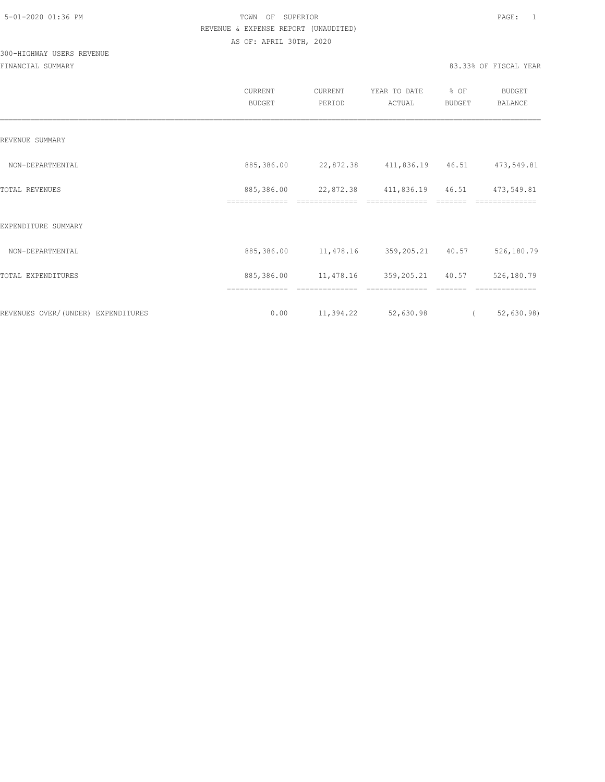## 300-HIGHWAY USERS REVENUE

|                                    | CURRENT<br><b>BUDGET</b>     | CURRENT<br>PERIOD | YEAR TO DATE<br>ACTUAL | % OF<br>BUDGET | <b>BUDGET</b><br><b>BALANCE</b> |
|------------------------------------|------------------------------|-------------------|------------------------|----------------|---------------------------------|
| REVENUE SUMMARY                    |                              |                   |                        |                |                                 |
| NON-DEPARTMENTAL                   | 885,386.00                   | 22,872.38         | 411,836.19 46.51       |                | 473,549.81                      |
| TOTAL REVENUES                     | 885,386.00<br>============== | 22,872.38         | 411,836.19             | 46.51          | 473,549.81                      |
| EXPENDITURE SUMMARY                |                              |                   |                        |                |                                 |
| NON-DEPARTMENTAL                   | 885,386.00                   | 11,478.16         | 359,205.21 40.57       |                | 526,180.79                      |
| TOTAL EXPENDITURES                 | 885,386.00                   | 11,478.16         | 359,205.21             | 40.57          | 526,180.79                      |
| REVENUES OVER/(UNDER) EXPENDITURES | 0.00                         | 11,394.22         | 52,630.98              | $\left($       | 52,630.98                       |
|                                    |                              |                   |                        |                |                                 |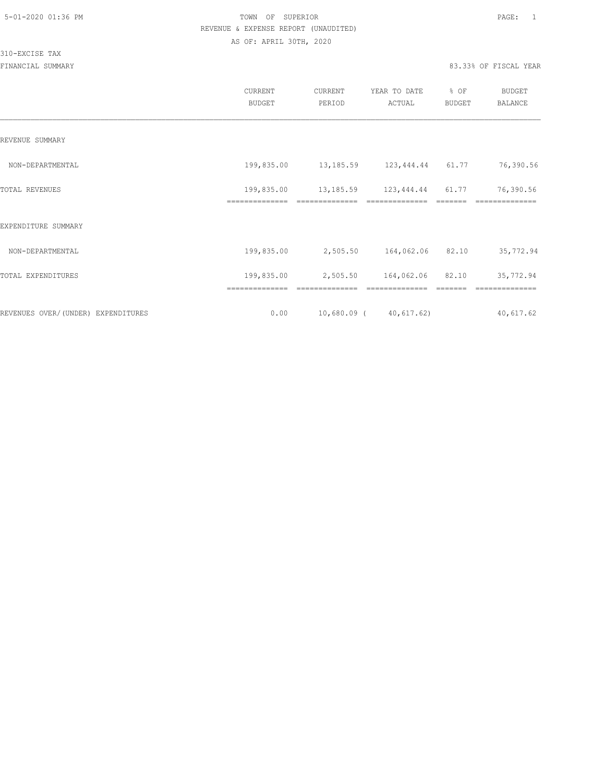310-EXCISE TAX

|                                    | <b>CURRENT</b><br><b>BUDGET</b> | CURRENT<br>PERIOD | YEAR TO DATE<br>ACTUAL                         | % OF<br>BUDGET | BUDGET<br><b>BALANCE</b>    |
|------------------------------------|---------------------------------|-------------------|------------------------------------------------|----------------|-----------------------------|
| REVENUE SUMMARY                    |                                 |                   |                                                |                |                             |
| NON-DEPARTMENTAL                   | 199,835.00                      |                   | 13, 185.59 123, 444.44 61.77                   |                | 76,390.56                   |
| TOTAL REVENUES                     | 199,835.00<br>--------------    |                   | 13, 185.59 123, 444.44 61.77<br>============== | -------        | 76,390.56<br>============== |
| EXPENDITURE SUMMARY                |                                 |                   |                                                |                |                             |
| NON-DEPARTMENTAL                   | 199,835.00                      | 2,505.50          | 164,062.06                                     | 82.10          | 35,772.94                   |
| TOTAL EXPENDITURES                 | 199,835.00                      | 2,505.50          | 164,062.06                                     | 82.10          | 35,772.94                   |
| REVENUES OVER/(UNDER) EXPENDITURES | 0.00                            |                   | $10,680.09$ ( $40,617.62$ )                    |                | 40,617.62                   |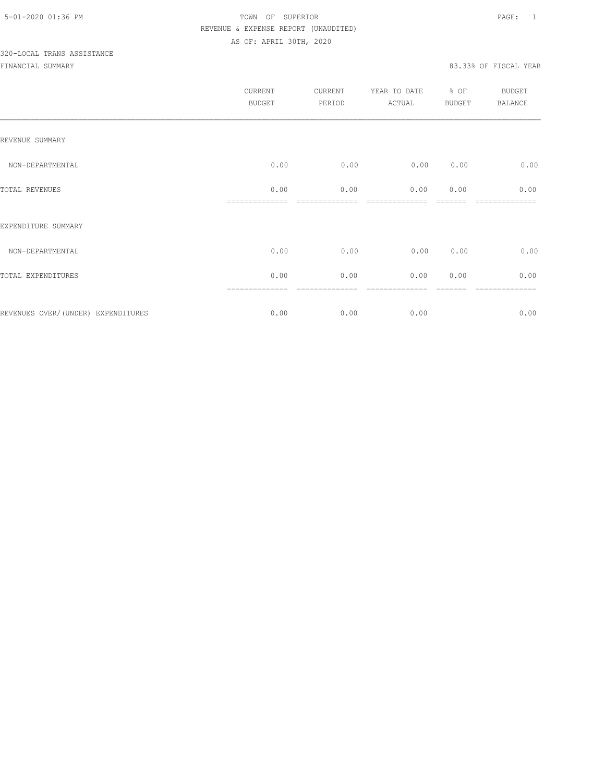# 320-LOCAL TRANS ASSISTANCE

|                                    | CURRENT<br><b>BUDGET</b> | CURRENT<br>PERIOD | YEAR TO DATE<br>ACTUAL | % OF<br>BUDGET | <b>BUDGET</b><br>BALANCE |
|------------------------------------|--------------------------|-------------------|------------------------|----------------|--------------------------|
| REVENUE SUMMARY                    |                          |                   |                        |                |                          |
| NON-DEPARTMENTAL                   | 0.00                     | 0.00              | 0.00                   | 0.00           | 0.00                     |
| TOTAL REVENUES                     | 0.00                     | 0.00              | 0.00                   | 0.00           | 0.00                     |
| EXPENDITURE SUMMARY                |                          |                   |                        |                |                          |
| NON-DEPARTMENTAL                   | 0.00                     | 0.00              | 0.00                   | 0.00           | 0.00                     |
| TOTAL EXPENDITURES                 | 0.00                     | 0.00              | 0.00                   | 0.00           | 0.00                     |
| REVENUES OVER/(UNDER) EXPENDITURES | 0.00                     | 0.00              | 0.00                   |                | 0.00                     |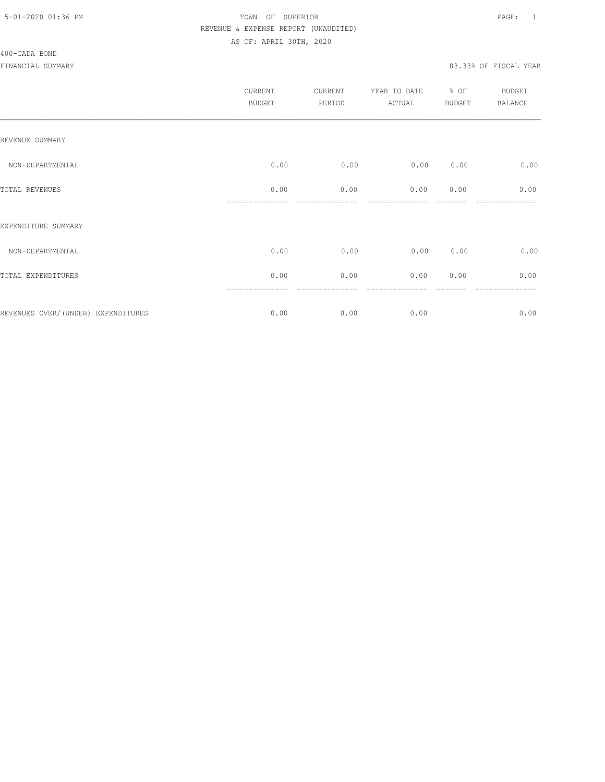#### 400-GADA BOND

|                                    | <b>CURRENT</b><br><b>BUDGET</b> | CURRENT<br>PERIOD | YEAR TO DATE<br>ACTUAL | % OF<br><b>BUDGET</b> | BUDGET<br><b>BALANCE</b> |
|------------------------------------|---------------------------------|-------------------|------------------------|-----------------------|--------------------------|
| REVENUE SUMMARY                    |                                 |                   |                        |                       |                          |
| NON-DEPARTMENTAL                   | 0.00                            | 0.00              | 0.00                   | 0.00                  | 0.00                     |
| TOTAL REVENUES                     | 0.00                            | 0.00              | 0.00                   | 0.00                  | 0.00                     |
| EXPENDITURE SUMMARY                |                                 |                   |                        |                       |                          |
| NON-DEPARTMENTAL                   | 0.00                            | 0.00              | 0.00                   | 0.00                  | 0.00                     |
| TOTAL EXPENDITURES                 | 0.00                            | 0.00              | 0.00                   | 0.00                  | 0.00                     |
| REVENUES OVER/(UNDER) EXPENDITURES | 0.00                            | 0.00              | 0.00                   |                       | =======<br>0.00          |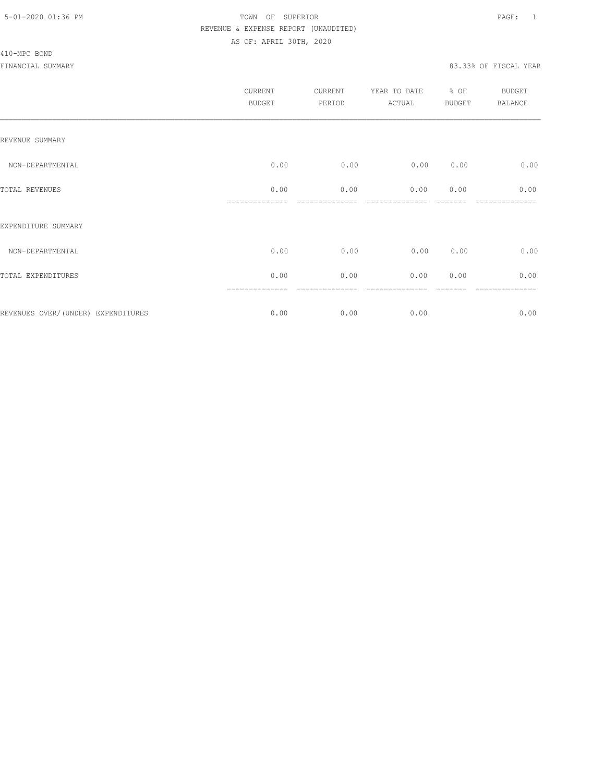#### 410-MPC BOND

| CURRENT<br><b>BUDGET</b> | CURRENT<br>PERIOD | YEAR TO DATE<br>ACTUAL | BUDGET | <b>BUDGET</b><br>BALANCE |
|--------------------------|-------------------|------------------------|--------|--------------------------|
|                          |                   |                        |        |                          |
| 0.00                     | 0.00              | 0.00                   | 0.00   | 0.00                     |
| 0.00                     | 0.00              | 0.00                   | 0.00   | 0.00                     |
|                          |                   |                        |        |                          |
| 0.00                     | 0.00              | 0.00                   | 0.00   | 0.00                     |
| 0.00                     | 0.00              | 0.00                   | 0.00   | 0.00                     |
| 0.00                     | 0.00              | 0.00                   |        | -----------<br>0.00      |
|                          | ==============    |                        |        | % OF                     |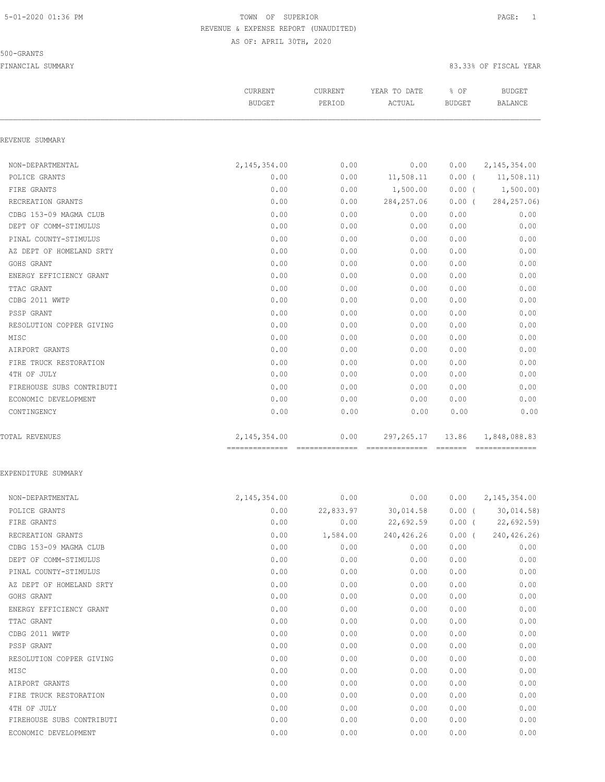#### 500-GRANTS

FINANCIAL SUMMARY 83.33% OF FISCAL YEAR

|                           | CURRENT<br><b>BUDGET</b>         | CURRENT<br>PERIOD | YEAR TO DATE<br>ACTUAL | % OF<br><b>BUDGET</b> | <b>BUDGET</b><br><b>BALANCE</b> |
|---------------------------|----------------------------------|-------------------|------------------------|-----------------------|---------------------------------|
| REVENUE SUMMARY           |                                  |                   |                        |                       |                                 |
| NON-DEPARTMENTAL          | 2, 145, 354.00                   | 0.00              | 0.00                   | 0.00                  | 2, 145, 354.00                  |
| POLICE GRANTS             | 0.00                             | 0.00              | 11,508.11              |                       | $0.00$ ( $11,508.11$ )          |
| FIRE GRANTS               | 0.00                             | 0.00              | 1,500.00               |                       | $0.00$ ( $1,500.00$ )           |
| RECREATION GRANTS         | 0.00                             | 0.00              | 284, 257.06            | $0.00$ (              | 284, 257.06)                    |
| CDBG 153-09 MAGMA CLUB    | 0.00                             | 0.00              | 0.00                   | 0.00                  | 0.00                            |
| DEPT OF COMM-STIMULUS     | 0.00                             | 0.00              | 0.00                   | 0.00                  | 0.00                            |
| PINAL COUNTY-STIMULUS     | 0.00                             | 0.00              | 0.00                   | 0.00                  | 0.00                            |
| AZ DEPT OF HOMELAND SRTY  | 0.00                             | 0.00              | 0.00                   | 0.00                  | 0.00                            |
| GOHS GRANT                | 0.00                             | 0.00              | 0.00                   | 0.00                  | 0.00                            |
| ENERGY EFFICIENCY GRANT   | 0.00                             | 0.00              | 0.00                   | 0.00                  | 0.00                            |
| TTAC GRANT                | 0.00                             | 0.00              | 0.00                   | 0.00                  | 0.00                            |
| CDBG 2011 WWTP            | 0.00                             | 0.00              | 0.00                   | 0.00                  | 0.00                            |
| PSSP GRANT                | 0.00                             | 0.00              | 0.00                   | 0.00                  | 0.00                            |
| RESOLUTION COPPER GIVING  | 0.00                             | 0.00              | 0.00                   | 0.00                  | 0.00                            |
| MISC                      | 0.00                             | 0.00              | 0.00                   | 0.00                  | 0.00                            |
| AIRPORT GRANTS            | 0.00                             | 0.00              | 0.00                   | 0.00                  | 0.00                            |
| FIRE TRUCK RESTORATION    | 0.00                             | 0.00              | 0.00                   | 0.00                  | 0.00                            |
| 4TH OF JULY               | 0.00                             | 0.00              | 0.00                   | 0.00                  | 0.00                            |
| FIREHOUSE SUBS CONTRIBUTI | 0.00                             | 0.00              | 0.00                   | 0.00                  | 0.00                            |
| ECONOMIC DEVELOPMENT      | 0.00                             | 0.00              | 0.00                   | 0.00                  | 0.00                            |
| CONTINGENCY               | 0.00                             | 0.00              | 0.00                   | 0.00                  | 0.00                            |
| <b>TOTAL REVENUES</b>     | 2,145,354.00                     | 0.00              | 297, 265.17            | 13.86                 | 1,848,088.83                    |
|                           | -------------------------------- |                   |                        |                       |                                 |

#### EXPENDITURE SUMMARY

| NON-DEPARTMENTAL          | 2, 145, 354.00 | 0.00      | 0.00       | 0.00     | 2, 145, 354.00 |
|---------------------------|----------------|-----------|------------|----------|----------------|
| POLICE GRANTS             | 0.00           | 22,833.97 | 30,014.58  | $0.00$ ( | 30,014.58)     |
| FIRE GRANTS               | 0.00           | 0.00      | 22,692.59  | $0.00$ ( | 22,692.59      |
| RECREATION GRANTS         | 0.00           | 1,584.00  | 240,426.26 | 0.00(    | 240, 426.26)   |
| CDBG 153-09 MAGMA CLUB    | 0.00           | 0.00      | 0.00       | 0.00     | 0.00           |
| DEPT OF COMM-STIMULUS     | 0.00           | 0.00      | 0.00       | 0.00     | 0.00           |
| PINAL COUNTY-STIMULUS     | 0.00           | 0.00      | 0.00       | 0.00     | 0.00           |
| AZ DEPT OF HOMELAND SRTY  | 0.00           | 0.00      | 0.00       | 0.00     | 0.00           |
| GOHS GRANT                | 0.00           | 0.00      | 0.00       | 0.00     | 0.00           |
| ENERGY EFFICIENCY GRANT   | 0.00           | 0.00      | 0.00       | 0.00     | 0.00           |
| TTAC GRANT                | 0.00           | 0.00      | 0.00       | 0.00     | 0.00           |
| CDBG 2011 WWTP            | 0.00           | 0.00      | 0.00       | 0.00     | 0.00           |
| PSSP GRANT                | 0.00           | 0.00      | 0.00       | 0.00     | 0.00           |
| RESOLUTION COPPER GIVING  | 0.00           | 0.00      | 0.00       | 0.00     | 0.00           |
| MISC                      | 0.00           | 0.00      | 0.00       | 0.00     | 0.00           |
| AIRPORT GRANTS            | 0.00           | 0.00      | 0.00       | 0.00     | 0.00           |
| FIRE TRUCK RESTORATION    | 0.00           | 0.00      | 0.00       | 0.00     | 0.00           |
| 4TH OF JULY               | 0.00           | 0.00      | 0.00       | 0.00     | 0.00           |
| FIREHOUSE SUBS CONTRIBUTI | 0.00           | 0.00      | 0.00       | 0.00     | 0.00           |
| ECONOMIC DEVELOPMENT      | 0.00           | 0.00      | 0.00       | 0.00     | 0.00           |
|                           |                |           |            |          |                |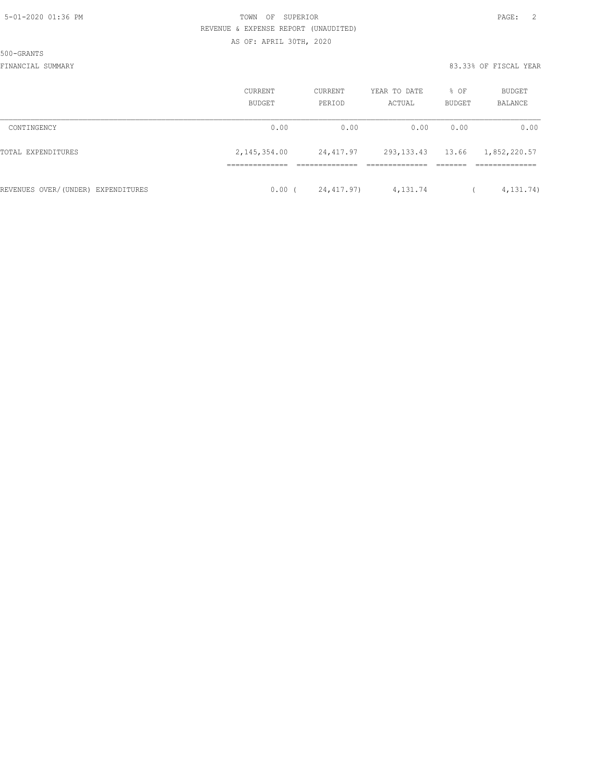500-GRANTS

|                                    | <b>CURRENT</b><br><b>BUDGET</b> | CURRENT<br>PERIOD | YEAR TO DATE<br>ACTUAL | % OF<br>BUDGET | BUDGET<br>BALANCE |
|------------------------------------|---------------------------------|-------------------|------------------------|----------------|-------------------|
| CONTINGENCY                        | 0.00                            | 0.00              | 0.00                   | 0.00           | 0.00              |
| TOTAL EXPENDITURES                 | 2,145,354.00                    | 24,417.97         | 293, 133. 43 13. 66    |                | 1,852,220.57      |
| REVENUES OVER/(UNDER) EXPENDITURES | 0.00                            | 24,417.97)        | 4,131.74               |                | 4, 131.74)        |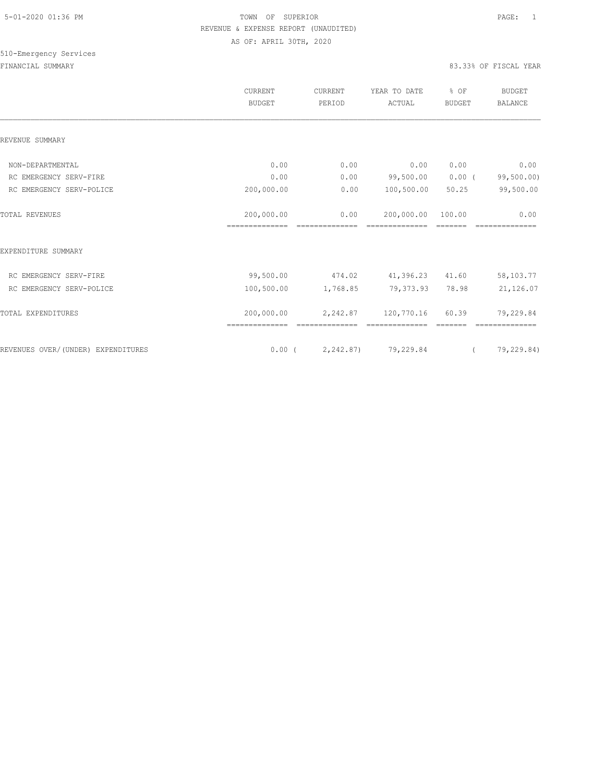|                                    | CURRENT<br><b>BUDGET</b> | CURRENT<br>PERIOD | YEAR TO DATE<br>ACTUAL          | % OF<br><b>BUDGET</b> | <b>BUDGET</b><br><b>BALANCE</b> |
|------------------------------------|--------------------------|-------------------|---------------------------------|-----------------------|---------------------------------|
| REVENUE SUMMARY                    |                          |                   |                                 |                       |                                 |
|                                    |                          |                   |                                 |                       |                                 |
| NON-DEPARTMENTAL                   | 0.00                     | 0.00              | 0.00                            | 0.00                  | 0.00                            |
| RC EMERGENCY SERV-FIRE             | 0.00                     | 0.00              | 99,500.00                       | $0.00$ (              | 99,500.00)                      |
| RC EMERGENCY SERV-POLICE           | 200,000.00               | 0.00              | 100,500.00                      | 50.25                 | 99,500.00                       |
| <b>TOTAL REVENUES</b>              | 200,000.00               | 0.00              | 200,000.00                      | 100.00                | 0.00                            |
|                                    | ==============           |                   |                                 |                       |                                 |
| EXPENDITURE SUMMARY                |                          |                   |                                 |                       |                                 |
| RC EMERGENCY SERV-FIRE             | 99,500.00                | 474.02            | 41,396.23                       | 41.60                 | 58,103.77                       |
| RC EMERGENCY SERV-POLICE           | 100,500.00               | 1,768.85          | 79,373.93                       | 78.98                 | 21,126.07                       |
| TOTAL EXPENDITURES                 | 200,000.00               |                   | 2, 242.87 120, 770.16           | 60.39                 | 79,229.84                       |
|                                    |                          |                   |                                 |                       |                                 |
| REVENUES OVER/(UNDER) EXPENDITURES |                          |                   | $0.00$ ( $2,242.87$ ) 79,229.84 | $\sqrt{2}$            | 79,229.84)                      |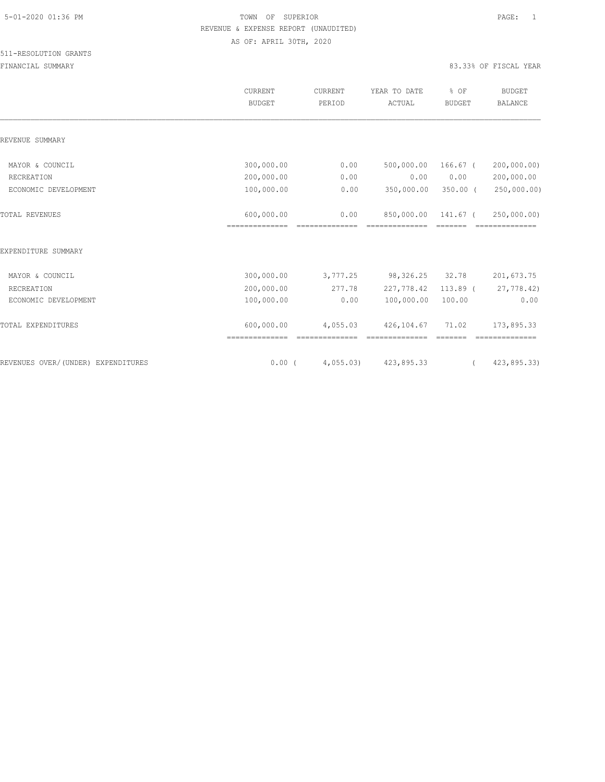|                                    | CURRENT<br><b>BUDGET</b> | CURRENT<br>PERIOD | YEAR TO DATE<br>ACTUAL | % OF<br><b>BUDGET</b> | <b>BUDGET</b><br><b>BALANCE</b> |
|------------------------------------|--------------------------|-------------------|------------------------|-----------------------|---------------------------------|
| REVENUE SUMMARY                    |                          |                   |                        |                       |                                 |
| MAYOR & COUNCIL                    | 300,000.00               | 0.00              | 500,000.00             | 166.67 (              | 200,000,00)                     |
| RECREATION                         | 200,000.00               | 0.00              | 0.00                   | 0.00                  | 200,000.00                      |
| ECONOMIC DEVELOPMENT               | 100,000.00               | 0.00              | 350,000.00             | $350.00$ (            | 250,000.00)                     |
| <b>TOTAL REVENUES</b>              | 600,000.00               | 0.00              | 850,000.00             | 141.67 (              | 250,000.00)                     |
| EXPENDITURE SUMMARY                |                          |                   |                        |                       |                                 |
| MAYOR & COUNCIL                    | 300,000.00               | 3,777.25          | 98,326.25              | 32.78                 | 201,673.75                      |
| RECREATION                         | 200,000.00               | 277.78            | 227,778.42             | $113.89$ (            | 27,778.42)                      |
| ECONOMIC DEVELOPMENT               | 100,000.00               | 0.00              | 100,000.00             | 100.00                | 0.00                            |
| TOTAL EXPENDITURES                 | 600,000.00               | 4,055.03          | 426,104.67             | 71.02                 | 173,895.33                      |
| REVENUES OVER/(UNDER) EXPENDITURES | $0.00$ (                 | 4,055.03          | 423,895.33             |                       | 423,895.33)                     |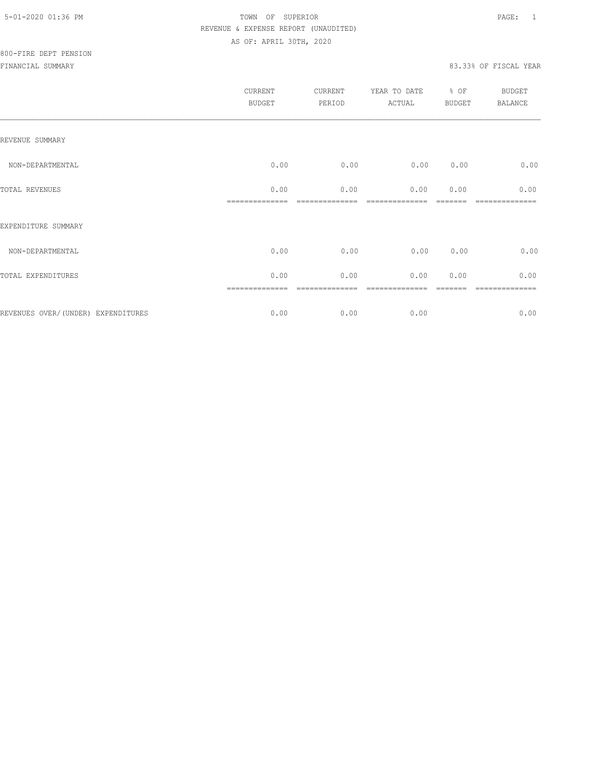FINANCIAL SUMMARY 83.33% OF FISCAL YEAR

|                     | CURRENT<br><b>BUDGET</b> | CURRENT<br>PERIOD | YEAR TO DATE<br>ACTUAL | % OF<br><b>BUDGET</b> | <b>BUDGET</b><br><b>BALANCE</b> |
|---------------------|--------------------------|-------------------|------------------------|-----------------------|---------------------------------|
| REVENUE SUMMARY     |                          |                   |                        |                       |                                 |
| NON-DEPARTMENTAL    | 0.00                     | 0.00              | 0.00                   | 0.00                  | 0.00                            |
| TOTAL REVENUES      | 0.00                     | 0.00              | 0.00                   | 0.00                  | 0.00                            |
| EXPENDITURE SUMMARY |                          |                   |                        |                       |                                 |
| NON-DEPARTMENTAL    | 0.00                     | 0.00              | 0.00                   | 0.00                  | 0.00                            |
| TOTAL EXPENDITURES  | 0.00                     | 0.00              | 0.00                   | 0.00                  | 0.00                            |
|                     |                          |                   |                        |                       |                                 |

REVENUES OVER/(UNDER) EXPENDITURES 6.00 0.00 0.00 0.00 0.00 0.00 0.00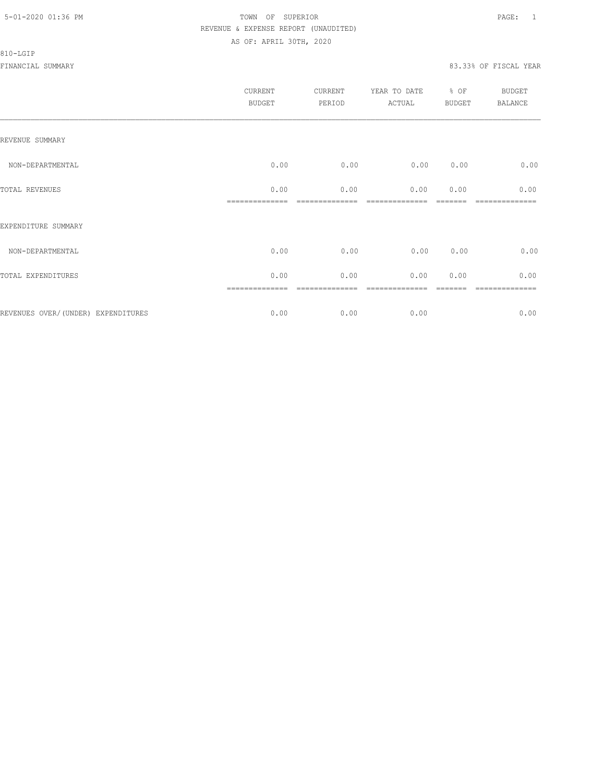#### 810-LGIP

|                                     | CURRENT<br><b>BUDGET</b> | CURRENT<br>PERIOD | YEAR TO DATE % OF<br>ACTUAL | <b>BUDGET</b> | <b>BUDGET</b><br><b>BALANCE</b> |
|-------------------------------------|--------------------------|-------------------|-----------------------------|---------------|---------------------------------|
| REVENUE SUMMARY                     |                          |                   |                             |               |                                 |
| NON-DEPARTMENTAL                    | 0.00                     | 0.00              | 0.00                        | 0.00          | 0.00                            |
| TOTAL REVENUES                      | 0.00                     | 0.00              | 0.00                        | 0.00          | 0.00                            |
| EXPENDITURE SUMMARY                 |                          |                   |                             |               |                                 |
| NON-DEPARTMENTAL                    | 0.00                     | 0.00              | 0.00                        | 0.00          | 0.00                            |
| TOTAL EXPENDITURES                  | 0.00                     | 0.00              | 0.00                        | 0.00          | 0.00                            |
|                                     | ==============           | ----------        |                             |               | ============                    |
| REVENUES OVER/ (UNDER) EXPENDITURES | 0.00                     | 0.00              | 0.00                        |               | 0.00                            |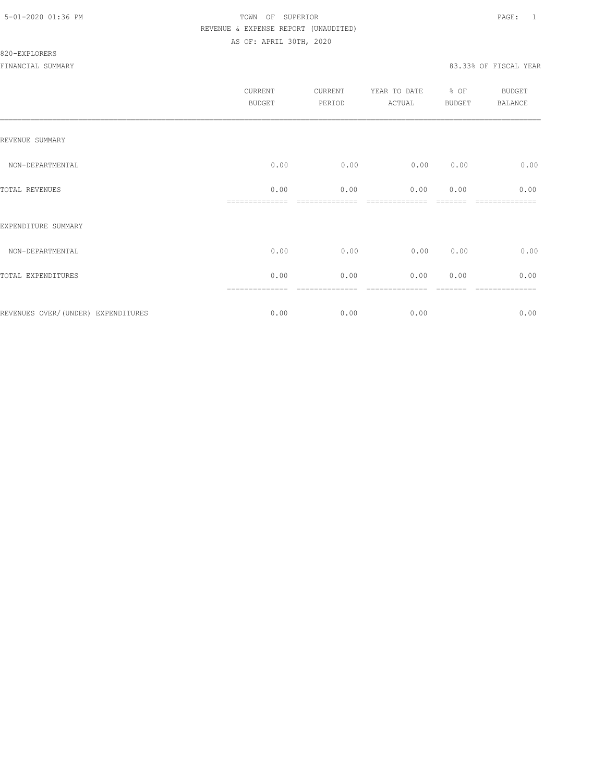|                                    | CURRENT<br><b>BUDGET</b> | CURRENT<br>PERIOD | YEAR TO DATE<br>ACTUAL | $%$ OF<br><b>BUDGET</b> | <b>BUDGET</b><br><b>BALANCE</b> |
|------------------------------------|--------------------------|-------------------|------------------------|-------------------------|---------------------------------|
| REVENUE SUMMARY                    |                          |                   |                        |                         |                                 |
| NON-DEPARTMENTAL                   | 0.00                     | 0.00              | 0.00                   | 0.00                    | 0.00                            |
| TOTAL REVENUES                     | 0.00                     | 0.00              | 0.00                   | 0.00                    | 0.00                            |
| EXPENDITURE SUMMARY                |                          |                   |                        |                         |                                 |
| NON-DEPARTMENTAL                   | 0.00                     | 0.00              | 0.00                   | 0.00                    | 0.00                            |
| TOTAL EXPENDITURES                 | 0.00                     | 0.00              | 0.00                   | 0.00                    | 0.00                            |
|                                    |                          |                   |                        |                         |                                 |
| REVENUES OVER/(UNDER) EXPENDITURES | 0.00                     | 0.00              | 0.00                   |                         | 0.00                            |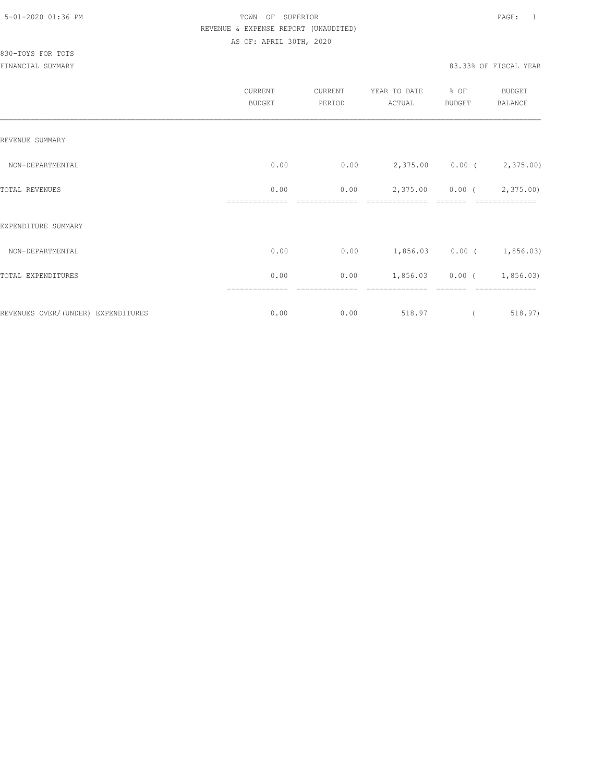830-TOYS FOR TOTS

|                                    | CURRENT<br><b>BUDGET</b> | CURRENT<br>PERIOD | YEAR TO DATE<br>ACTUAL      | % OF<br>BUDGET    | BUDGET<br>BALANCE |
|------------------------------------|--------------------------|-------------------|-----------------------------|-------------------|-------------------|
| REVENUE SUMMARY                    |                          |                   |                             |                   |                   |
| NON-DEPARTMENTAL                   | 0.00                     | 0.00              | 2,375.00 0.00 (2,375.00)    |                   |                   |
| TOTAL REVENUES                     | 0.00                     | 0.00              |                             | 2,375.00 0.00 (   | 2,375.00)         |
| EXPENDITURE SUMMARY                |                          |                   |                             |                   |                   |
| NON-DEPARTMENTAL                   | 0.00                     | 0.00              | $1,856.03$ 0.00 ( 1,856.03) |                   |                   |
| TOTAL EXPENDITURES                 | 0.00                     | 0.00              |                             | $1,856.03$ 0.00 ( | 1,856.03)         |
| REVENUES OVER/(UNDER) EXPENDITURES | 0.00                     | 0.00              | 518.97                      | $\left($          | 518.97)           |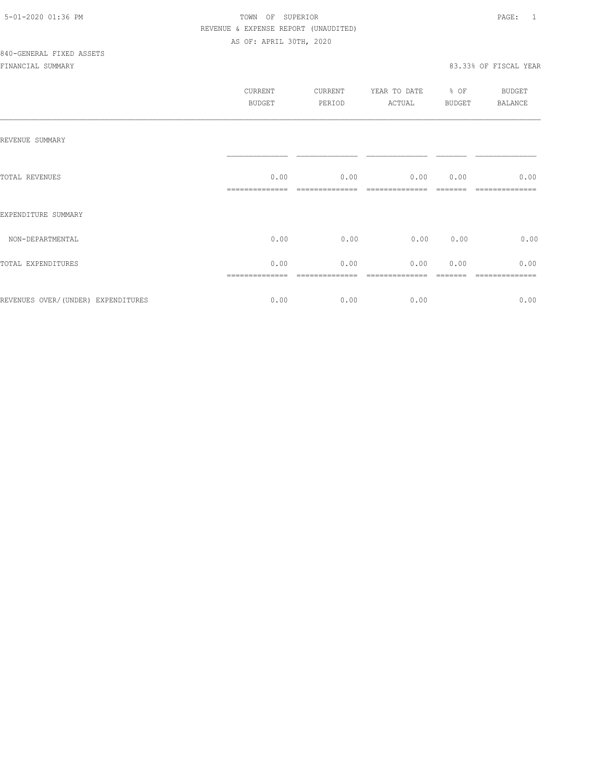|                                    | CURRENT<br>BUDGET | CURRENT<br>PERIOD | YEAR TO DATE<br>ACTUAL | % OF<br>BUDGET | BUDGET<br><b>BALANCE</b> |
|------------------------------------|-------------------|-------------------|------------------------|----------------|--------------------------|
| REVENUE SUMMARY                    |                   |                   |                        |                |                          |
| TOTAL REVENUES                     | 0.00              | 0.00              | 0.00                   | 0.00           | 0.00                     |
| EXPENDITURE SUMMARY                |                   |                   |                        |                |                          |
| NON-DEPARTMENTAL                   | 0.00              | 0.00              | 0.00                   | 0.00           | 0.00                     |
| TOTAL EXPENDITURES                 | 0.00              | 0.00              | 0.00                   | 0.00           | 0.00                     |
| REVENUES OVER/(UNDER) EXPENDITURES | 0.00              | 0.00              | 0.00                   |                | 0.00                     |